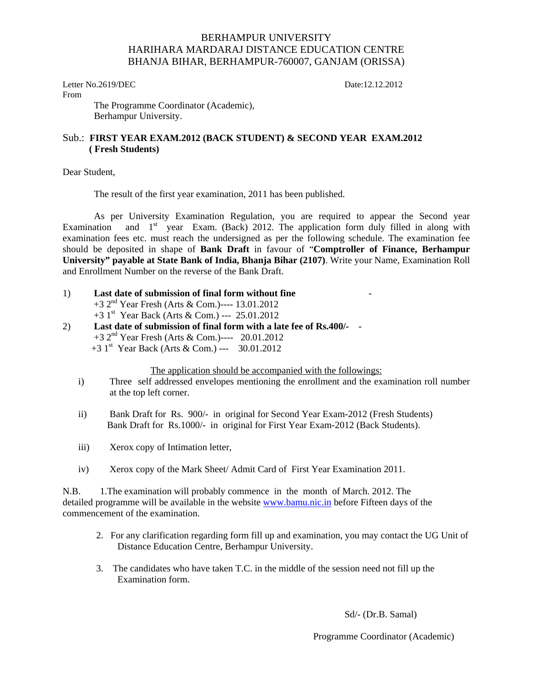## BERHAMPUR UNIVERSITY HARIHARA MARDARAJ DISTANCE EDUCATION CENTRE BHANJA BIHAR, BERHAMPUR-760007, GANJAM (ORISSA)

Letter No.2619/DEC Date:12.12.2012 From

The Programme Coordinator (Academic), Berhampur University.

## Sub.: **FIRST YEAR EXAM.2012 (BACK STUDENT) & SECOND YEAR EXAM.2012 ( Fresh Students)**

Dear Student,

The result of the first year examination, 2011 has been published.

 As per University Examination Regulation, you are required to appear the Second year Examination and  $1<sup>st</sup>$  year Exam. (Back) 2012. The application form duly filled in along with examination fees etc. must reach the undersigned as per the following schedule. The examination fee should be deposited in shape of **Bank Draft** in favour of "**Comptroller of Finance, Berhampur University" payable at State Bank of India, Bhanja Bihar (2107)**. Write your Name, Examination Roll and Enrollment Number on the reverse of the Bank Draft.

- 1) **Last date of submission of final form without fine**  +3 2nd Year Fresh (Arts & Com.)---- 13.01.2012  $+3$  1<sup>st</sup> Year Back (Arts & Com.) --- 25.01.2012 2) **Last date of submission of final form with a late fee of Rs.400/-** -
- +3 2nd Year Fresh (Arts & Com.)---- 20.01.2012 +3 1st Year Back (Arts & Com.) --- 30.01.2012

The application should be accompanied with the followings:

- i) Three self addressed envelopes mentioning the enrollment and the examination roll number at the top left corner.
- ii) Bank Draft for Rs. 900/- in original for Second Year Exam-2012 (Fresh Students) Bank Draft for Rs.1000/- in original for First Year Exam-2012 (Back Students).
- iii) Xerox copy of Intimation letter,
- iv) Xerox copy of the Mark Sheet/ Admit Card of First Year Examination 2011.

N.B. 1.The examination will probably commence in the month of March. 2012. The detailed programme will be available in the website www.bamu.nic.in before Fifteen days of the commencement of the examination.

- 2. For any clarification regarding form fill up and examination, you may contact the UG Unit of Distance Education Centre, Berhampur University.
- 3. The candidates who have taken T.C. in the middle of the session need not fill up the Examination form.

Sd/- (Dr.B. Samal)

Programme Coordinator (Academic)